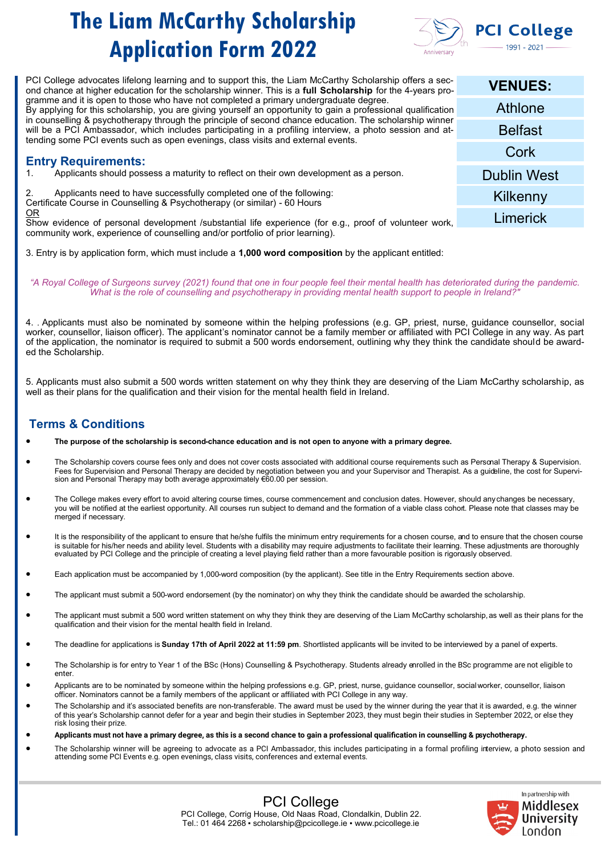

| <b>VENUES:</b>     |
|--------------------|
| Athlone            |
| <b>Belfast</b>     |
| Cork               |
| <b>Dublin West</b> |
| Kilkenny           |
| Limerick           |
|                    |

3. Entry is by application form, which must include a **1,000 word composition** by the applicant entitled:

*"A Royal College of Surgeons survey (2021) found that one in four people feel their mental health has deteriorated during the pandemic. What is the role of counselling and psychotherapy in providing mental health support to people in Ireland?"*

4. . Applicants must also be nominated by someone within the helping professions (e.g. GP, priest, nurse, guidance counsellor, social worker, counsellor, liaison officer). The applicant's nominator cannot be a family member or affiliated with PCI College in any way. As part of the application, the nominator is required to submit a 500 words endorsement, outlining why they think the candidate should be awarded the Scholarship.

5. Applicants must also submit a 500 words written statement on why they think they are deserving of the Liam McCarthy scholarship, as well as their plans for the qualification and their vision for the mental health field in Ireland.

## **Terms & Conditions**

- **The purpose of the scholarship is second-chance education and is not open to anyone with a primary degree.**
- The Scholarship covers course fees only and does not cover costs associated with additional course requirements such as Personal Therapy & Supervision. Fees for Supervision and Personal Therapy are decided by negotiation between you and your Supervisor and Therapist. As a guideline, the cost for Supervision and Personal Therapy may both average approximately €60.00 per session.
- The College makes every effort to avoid altering course times, course commencement and conclusion dates. However, should any changes be necessary, you will be notified at the earliest opportunity. All courses run subject to demand and the formation of a viable class cohort. Please note that classes may be merged if necessary.
- It is the responsibility of the applicant to ensure that he/she fulfils the minimum entry requirements for a chosen course, and to ensure that the chosen course is suitable for his/her needs and ability level. Students with a disability may require adjustments to facilitate their learning. These adjustments are thoroughly evaluated by PCI College and the principle of creating a level playing field rather than a more favourable position is rigorously observed.
- Each application must be accompanied by 1,000-word composition (by the applicant). See title in the Entry Requirements section above.
- The applicant must submit a 500-word endorsement (by the nominator) on why they think the candidate should be awarded the scholarship.
- The applicant must submit a 500 word written statement on why they think they are deserving of the Liam McCarthy scholarship, as well as their plans for the qualification and their vision for the mental health field in Ireland.
- The deadline for applications is **Sunday 17th of April 2022 at 11:59 pm**. Shortlisted applicants will be invited to be interviewed by a panel of experts.
- The Scholarship is for entry to Year 1 of the BSc (Hons) Counselling & Psychotherapy. Students already enrolled in the BSc programme are not eligible to enter.
- Applicants are to be nominated by someone within the helping professions e.g. GP, priest, nurse, guidance counsellor, social worker, counsellor, liaison officer. Nominators cannot be a family members of the applicant or affiliated with PCI College in any way.
- The Scholarship and it's associated benefits are non-transferable. The award must be used by the winner during the year that it is awarded, e.g. the winner of this year's Scholarship cannot defer for a year and begin their studies in September 2023, they must begin their studies in September 2022, or else they risk losing their prize.
- **Applicants must not have a primary degree, as this is a second chance to gain a professional qualification in counselling & psychotherapy.**
- The Scholarship winner will be agreeing to advocate as a PCI Ambassador, this includes participating in a formal profiling interview, a photo session and attending some PCI Events e.g. open evenings, class visits, conferences and external events.



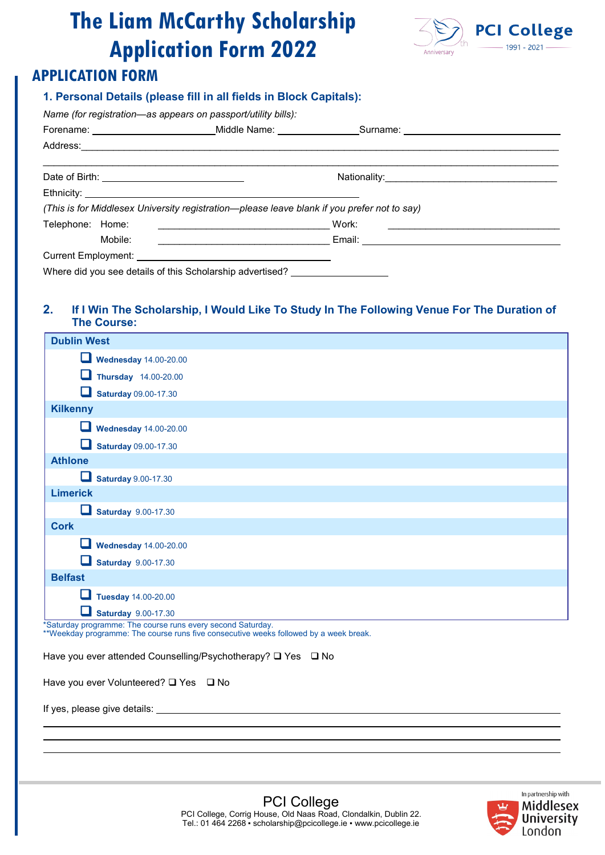

## **APPLICATION FORM**

### **1. Personal Details (please fill in all fields in Block Capitals):**

|                  | Forename: ____________________________Middle Name: ________________Surname: __________________________________       |  |
|------------------|----------------------------------------------------------------------------------------------------------------------|--|
|                  |                                                                                                                      |  |
|                  |                                                                                                                      |  |
|                  | Ethnicity: <u>Communication</u>                                                                                      |  |
|                  | (This is for Middlesex University registration—please leave blank if you prefer not to say)                          |  |
| Telephone: Home: |                                                                                                                      |  |
| Mobile:          | <u> 1989 - Johann Stein, skriuwer en fan it ferstjer fan it ferstjer fan it ferstjer fan it ferstjer fan it fers</u> |  |
|                  |                                                                                                                      |  |
|                  | Where did you see details of this Scholarship advertised?                                                            |  |

### **2. If I Win The Scholarship, I Would Like To Study In The Following Venue For The Duration of The Course:**

| <b>Dublin West</b>                |  |  |  |  |  |
|-----------------------------------|--|--|--|--|--|
| <b>Wednesday 14.00-20.00</b>      |  |  |  |  |  |
| ⊔<br>Thursday 14.00-20.00         |  |  |  |  |  |
| <b>Saturday 09.00-17.30</b>       |  |  |  |  |  |
| <b>Kilkenny</b>                   |  |  |  |  |  |
| <b>Wednesday 14.00-20.00</b>      |  |  |  |  |  |
| <b>Saturday 09.00-17.30</b>       |  |  |  |  |  |
| <b>Athlone</b>                    |  |  |  |  |  |
| <b>Saturday 9.00-17.30</b>        |  |  |  |  |  |
| <b>Limerick</b>                   |  |  |  |  |  |
| <b>Saturday 9.00-17.30</b>        |  |  |  |  |  |
| <b>Cork</b>                       |  |  |  |  |  |
| <b>Wednesday 14.00-20.00</b><br>u |  |  |  |  |  |
| <b>Saturday</b> 9.00-17.30        |  |  |  |  |  |
| <b>Belfast</b>                    |  |  |  |  |  |
| <b>Tuesday 14.00-20.00</b><br>ப   |  |  |  |  |  |
| <b>Saturday 9.00-17.30</b>        |  |  |  |  |  |

\*Saturday programme: The course runs every second Saturday.

\*\*Weekday programme: The course runs five consecutive weeks followed by a week break.

Have you ever attended Counselling/Psychotherapy? ❑ Yes ❑ No

Have you ever Volunteered? ❑ Yes ❑ No

If yes, please give details:

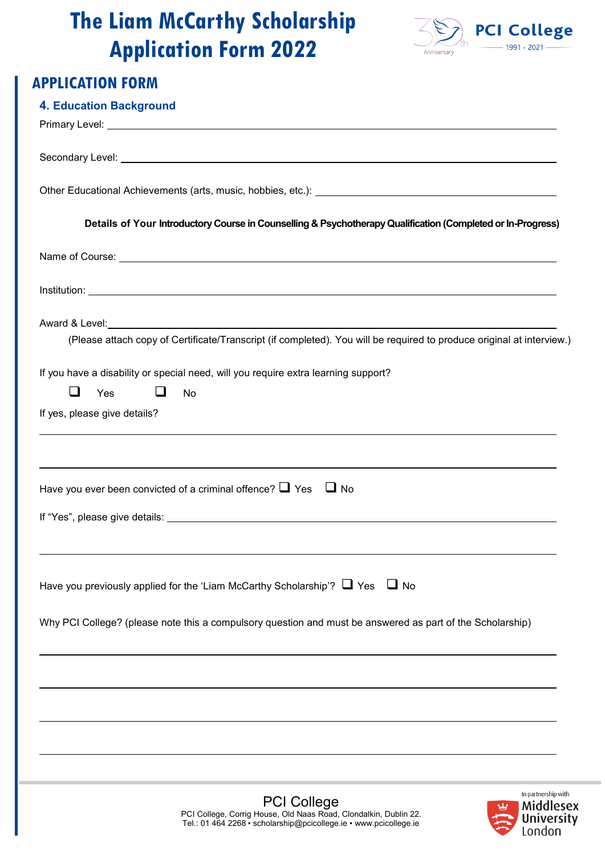

### **Paul CAS APPLICATION FORM**

| <b>4. Education Background</b>                                                                                                                                                                                                       |
|--------------------------------------------------------------------------------------------------------------------------------------------------------------------------------------------------------------------------------------|
| Primary Level: <u>Quality Commission Commission Commission Commission Commission Commission Commission Commission</u>                                                                                                                |
|                                                                                                                                                                                                                                      |
| Secondary Level: <u>contract the contract of the contract of the contract of the contract of the contract of the contract of the contract of the contract of the contract of the contract of the contract of the contract of the</u> |
| Other Educational Achievements (arts, music, hobbies, etc.): [1997] [2012] [2013] [2013] [2013] [2014] [2014] [                                                                                                                      |
| Details of Your Introductory Course in Counselling & Psychotherapy Qualification (Completed or In-Progress)                                                                                                                          |
|                                                                                                                                                                                                                                      |
|                                                                                                                                                                                                                                      |
|                                                                                                                                                                                                                                      |
| (Please attach copy of Certificate/Transcript (if completed). You will be required to produce original at interview.)                                                                                                                |
| If you have a disability or special need, will you require extra learning support?                                                                                                                                                   |
| ப<br>$\Box$<br>Yes<br>No                                                                                                                                                                                                             |
| If yes, please give details?                                                                                                                                                                                                         |
| Have you ever been convicted of a criminal offence? $\Box$ Yes<br>U No                                                                                                                                                               |
|                                                                                                                                                                                                                                      |
|                                                                                                                                                                                                                                      |
|                                                                                                                                                                                                                                      |
| Have you previously applied for the 'Liam McCarthy Scholarship'? $\Box$ Yes $\Box$ No                                                                                                                                                |
| Why PCI College? (please note this a compulsory question and must be answered as part of the Scholarship)                                                                                                                            |
|                                                                                                                                                                                                                                      |
|                                                                                                                                                                                                                                      |
|                                                                                                                                                                                                                                      |
|                                                                                                                                                                                                                                      |
| In partnership with<br><b>PCI College</b><br><b>Middlesex</b>                                                                                                                                                                        |
| PCI College, Corrig House, Old Naas Road, Clondalkin, Dublin 22.<br><b>University</b><br>Tel.: 01 464 2268 · scholarship@pcicollege.ie · www.pcicollege.ie<br>London                                                                 |